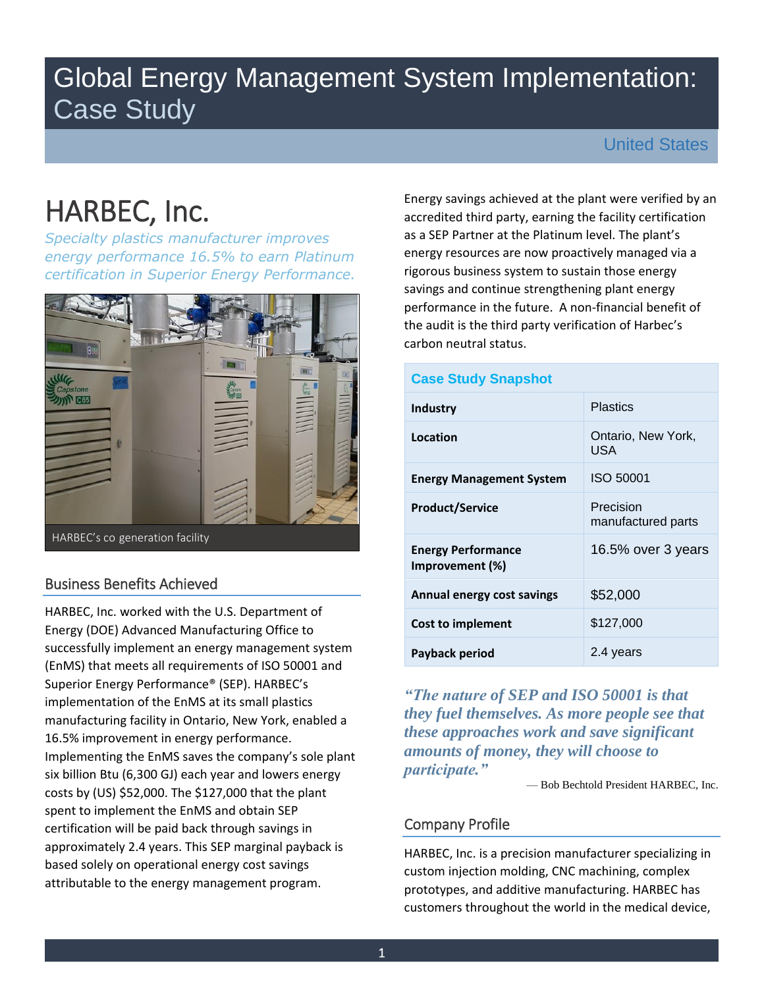# Global Energy Management System Implementation: Case Study

## United States

# HARBEC, Inc.

 *certification in Superior Energy Performance. Specialty plastics manufacturer improves energy performance 16.5% to earn Platinum* 



# Business Benefits Achieved

Superior Energy Performance® (SEP). HARBEC's HARBEC, Inc. worked with the U.S. Department of Energy (DOE) Advanced Manufacturing Office to successfully implement an energy management system (EnMS) that meets all requirements of ISO 50001 and implementation of the EnMS at its small plastics manufacturing facility in Ontario, New York, enabled a 16.5% improvement in energy performance. Implementing the EnMS saves the company's sole plant six billion Btu (6,300 GJ) each year and lowers energy costs by (US) \$52,000. The \$127,000 that the plant spent to implement the EnMS and obtain SEP certification will be paid back through savings in approximately 2.4 years. This SEP marginal payback is based solely on operational energy cost savings attributable to the energy management program.

 performance in the future. A non-financial benefit of Energy savings achieved at the plant were verified by an accredited third party, earning the facility certification as a SEP Partner at the Platinum level. The plant's energy resources are now proactively managed via a rigorous business system to sustain those energy savings and continue strengthening plant energy the audit is the third party verification of Harbec's carbon neutral status.

## **Case Study Snapshot**

| Industry                                     | <b>Plastics</b>                 |
|----------------------------------------------|---------------------------------|
| Location                                     | Ontario, New York,<br>USA       |
| <b>Energy Management System</b>              | ISO 50001                       |
| <b>Product/Service</b>                       | Precision<br>manufactured parts |
| <b>Energy Performance</b><br>Improvement (%) | 16.5% over 3 years              |
| Annual energy cost savings                   | \$52,000                        |
| Cost to implement                            | \$127,000                       |
| Payback period                               | 2.4 years                       |

*"The nature of SEP and ISO 50001 is that they fuel themselves. As more people see that these approaches work and save significant amounts of money, they will choose to participate."* 

— Bob Bechtold President HARBEC, Inc.

## Company Profile

HARBEC, Inc. is a precision manufacturer specializing in custom injection molding, CNC machining, complex prototypes, and additive manufacturing. HARBEC has customers throughout the world in the medical device,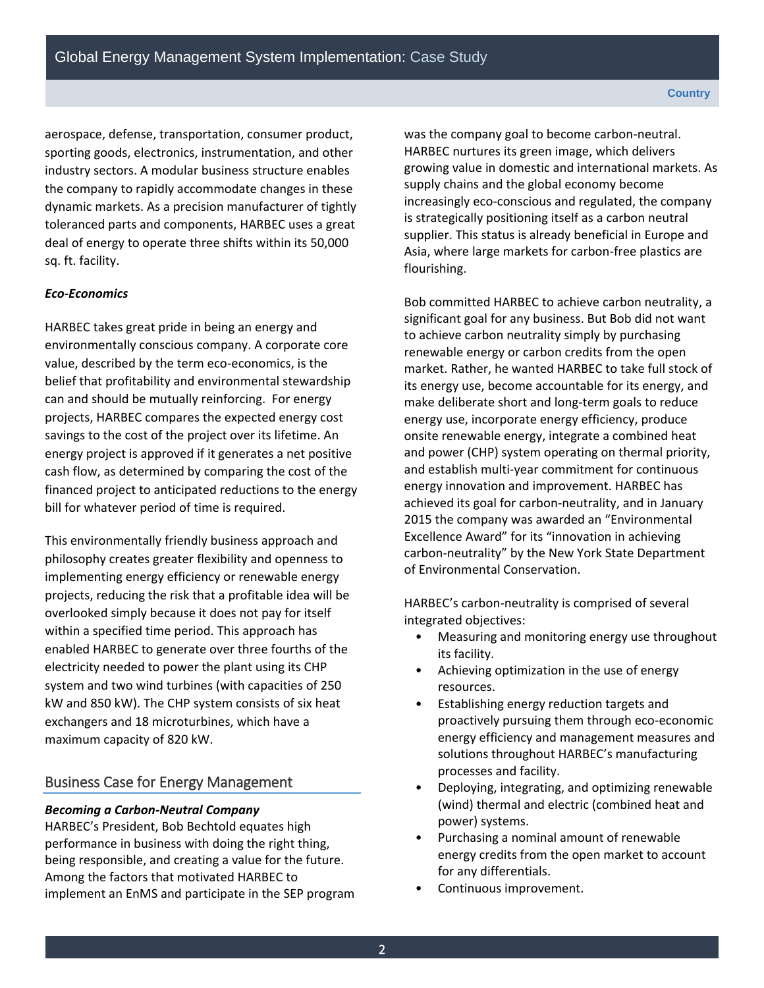sq. ft. facility. aerospace, defense, transportation, consumer product, sporting goods, electronics, instrumentation, and other industry sectors. A modular business structure enables the company to rapidly accommodate changes in these dynamic markets. As a precision manufacturer of tightly toleranced parts and components, HARBEC uses a great deal of energy to operate three shifts within its 50,000

#### *Eco-Economics*

 can and should be mutually reinforcing. For energy HARBEC takes great pride in being an energy and environmentally conscious company. A corporate core value, described by the term eco-economics, is the belief that profitability and environmental stewardship projects, HARBEC compares the expected energy cost savings to the cost of the project over its lifetime. An energy project is approved if it generates a net positive cash flow, as determined by comparing the cost of the financed project to anticipated reductions to the energy bill for whatever period of time is required.

 maximum capacity of 820 kW. This environmentally friendly business approach and philosophy creates greater flexibility and openness to implementing energy efficiency or renewable energy projects, reducing the risk that a profitable idea will be overlooked simply because it does not pay for itself within a specified time period. This approach has enabled HARBEC to generate over three fourths of the electricity needed to power the plant using its CHP system and two wind turbines (with capacities of 250 kW and 850 kW). The CHP system consists of six heat exchangers and 18 microturbines, which have a

## Business Case for Energy Management

#### *Becoming a Carbon-Neutral Company*

HARBEC's President, Bob Bechtold equates high performance in business with doing the right thing, being responsible, and creating a value for the future. Among the factors that motivated HARBEC to implement an EnMS and participate in the SEP program was the company goal to become carbon-neutral. HARBEC nurtures its green image, which delivers growing value in domestic and international markets. As supply chains and the global economy become increasingly eco-conscious and regulated, the company is strategically positioning itself as a carbon neutral supplier. This status is already beneficial in Europe and Asia, where large markets for carbon-free plastics are flourishing.

Bob committed HARBEC to achieve carbon neutrality, a significant goal for any business. But Bob did not want to achieve carbon neutrality simply by purchasing renewable energy or carbon credits from the open market. Rather, he wanted HARBEC to take full stock of its energy use, become accountable for its energy, and make deliberate short and long-term goals to reduce energy use, incorporate energy efficiency, produce onsite renewable energy, integrate a combined heat and power (CHP) system operating on thermal priority, and establish multi-year commitment for continuous energy innovation and improvement. HARBEC has achieved its goal for carbon-neutrality, and in January 2015 the company was awarded an "Environmental Excellence Award" for its "innovation in achieving carbon-neutrality" by the New York State Department of Environmental Conservation.

HARBEC's carbon-neutrality is comprised of several integrated objectives:

- Measuring and monitoring energy use throughout its facility.
- Achieving optimization in the use of energy resources.
- Establishing energy reduction targets and proactively pursuing them through eco-economic energy efficiency and management measures and solutions throughout HARBEC's manufacturing processes and facility.
- Deploying, integrating, and optimizing renewable (wind) thermal and electric (combined heat and power) systems.
- Purchasing a nominal amount of renewable energy credits from the open market to account for any differentials.
- Continuous improvement.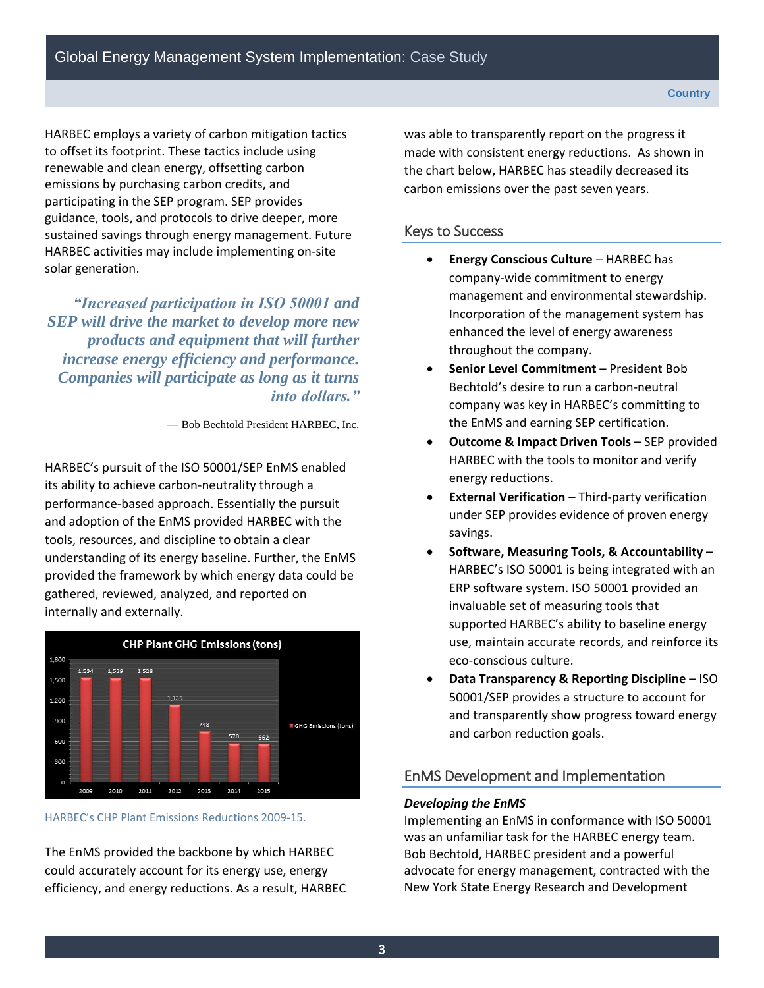sustained savings through energy management. Future HARBEC employs a variety of carbon mitigation tactics to offset its footprint. These tactics include using renewable and clean energy, offsetting carbon emissions by purchasing carbon credits, and participating in the SEP program. SEP provides guidance, tools, and protocols to drive deeper, more HARBEC activities may include implementing on-site solar generation.

 *SEP will drive the market to develop more new "Increased participation in ISO 50001 and products and equipment that will further increase energy efficiency and performance. Companies will participate as long as it turns into dollars."* 

— Bob Bechtold President HARBEC, Inc.

 internally and externally. HARBEC's pursuit of the ISO 50001/SEP EnMS enabled its ability to achieve carbon-neutrality through a performance-based approach. Essentially the pursuit and adoption of the EnMS provided HARBEC with the tools, resources, and discipline to obtain a clear understanding of its energy baseline. Further, the EnMS provided the framework by which energy data could be gathered, reviewed, analyzed, and reported on



**HARBEC's CHP Plant Emissions Reductions 2009-15.** 

The EnMS provided the backbone by which HARBEC could accurately account for its energy use, energy efficiency, and energy reductions. As a result, HARBEC

 made with consistent energy reductions. As shown in was able to transparently report on the progress it the chart below, HARBEC has steadily decreased its carbon emissions over the past seven years.

## Keys to Success

- **Energy Conscious Culture**  HARBEC has throughout the company. company-wide commitment to energy management and environmental stewardship. Incorporation of the management system has enhanced the level of energy awareness
- **Senior Level Commitment**  President Bob Bechtold's desire to run a carbon-neutral company was key in HARBEC's committing to the EnMS and earning SEP certification.
- **Outcome & Impact Driven Tools**  SEP provided HARBEC with the tools to monitor and verify energy reductions.
- **External Verification**  Third-party verification under SEP provides evidence of proven energy savings.
- **Software, Measuring Tools, & Accountability**  HARBEC's ISO 50001 is being integrated with an ERP software system. ISO 50001 provided an eco-conscious culture. invaluable set of measuring tools that supported HARBEC's ability to baseline energy use, maintain accurate records, and reinforce its
- **Data Transparency & Reporting Discipline**  ISO 50001/SEP provides a structure to account for and transparently show progress toward energy and carbon reduction goals.

## EnMS Development and Implementation

#### *Developing the EnMS*

Implementing an EnMS in conformance with ISO 50001 was an unfamiliar task for the HARBEC energy team. Bob Bechtold, HARBEC president and a powerful advocate for energy management, contracted with the New York State Energy Research and Development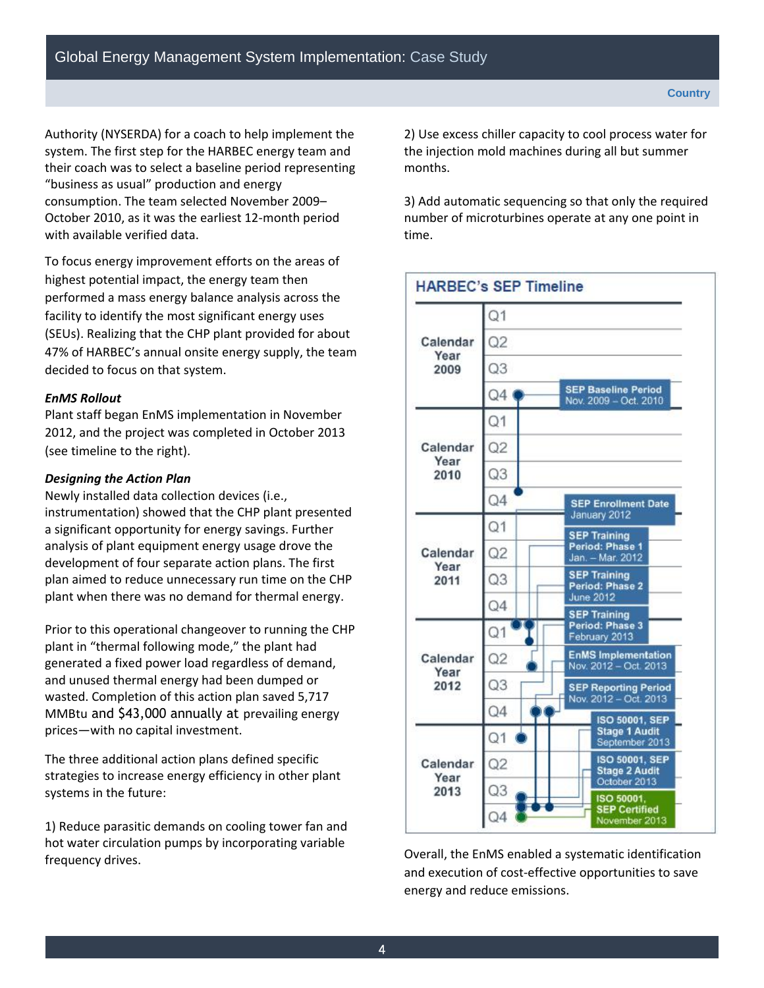Authority (NYSERDA) for a coach to help implement the system. The first step for the HARBEC energy team and their coach was to select a baseline period representing "business as usual" production and energy consumption. The team selected November 2009– October 2010, as it was the earliest 12-month period with available verified data.

To focus energy improvement efforts on the areas of highest potential impact, the energy team then performed a mass energy balance analysis across the facility to identify the most significant energy uses (SEUs). Realizing that the CHP plant provided for about 47% of HARBEC's annual onsite energy supply, the team decided to focus on that system.

#### *EnMS Rollout*

Plant staff began EnMS implementation in November 2012, and the project was completed in October 2013 (see timeline to the right).

#### *Designing the Action Plan*

plant when there was no demand for thermal energy. Newly installed data collection devices (i.e., instrumentation) showed that the CHP plant presented a significant opportunity for energy savings. Further analysis of plant equipment energy usage drove the development of four separate action plans. The first plan aimed to reduce unnecessary run time on the CHP

Prior to this operational changeover to running the CHP plant in "thermal following mode," the plant had generated a fixed power load regardless of demand, and unused thermal energy had been dumped or wasted. Completion of this action plan saved 5,717 MMBtu and \$43,000 annually at prevailing energy prices—with no capital investment.

The three additional action plans defined specific strategies to increase energy efficiency in other plant systems in the future:

1) Reduce parasitic demands on cooling tower fan and hot water circulation pumps by incorporating variable frequency drives.

2) Use excess chiller capacity to cool process water for the injection mold machines during all but summer months.

3) Add automatic sequencing so that only the required number of microturbines operate at any one point in time.



Overall, the EnMS enabled a systematic identification and execution of cost-effective opportunities to save energy and reduce emissions.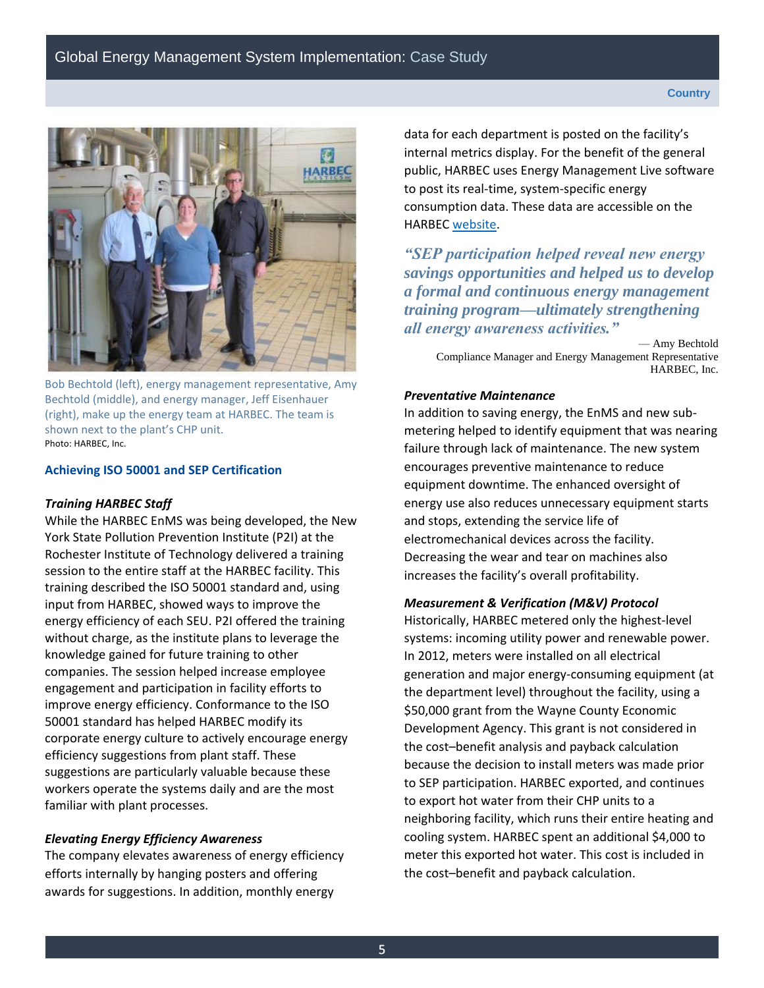

 Photo: HARBEC, Inc. Bob Bechtold (left), energy management representative, Amy Bechtold (middle), and energy manager, Jeff Eisenhauer (right), make up the energy team at HARBEC. The team is shown next to the plant's CHP unit.

#### **Achieving ISO 50001 and SEP Certification**

## *Training HARBEC Staff*

While the HARBEC EnMS was being developed, the New York State Pollution Prevention Institute (P2I) at the Rochester Institute of Technology delivered a training session to the entire staff at the HARBEC facility. This training described the ISO 50001 standard and, using input from HARBEC, showed ways to improve the energy efficiency of each SEU. P2I offered the training without charge, as the institute plans to leverage the knowledge gained for future training to other companies. The session helped increase employee engagement and participation in facility efforts to improve energy efficiency. Conformance to the ISO 50001 standard has helped HARBEC modify its corporate energy culture to actively encourage energy efficiency suggestions from plant staff. These suggestions are particularly valuable because these workers operate the systems daily and are the most familiar with plant processes.

#### *Elevating Energy Efficiency Awareness*

The company elevates awareness of energy efficiency efforts internally by hanging posters and offering awards for suggestions. In addition, monthly energy

data for each department is posted on the facility's internal metrics display. For the benefit of the general public, HARBEC uses Energy Management Live software to post its real-time, system-specific energy consumption data. These data are accessible on the HARBEC [website.](http://www.harbec.com/)

*"SEP participation helped reveal new energy savings opportunities and helped us to develop a formal and continuous energy management training program—ultimately strengthening all energy awareness activities."* 

 — Amy Bechtold HARBEC, Inc. Compliance Manager and Energy Management Representative

#### *Preventative Maintenance*

In addition to saving energy, the EnMS and new submetering helped to identify equipment that was nearing failure through lack of maintenance. The new system encourages preventive maintenance to reduce equipment downtime. The enhanced oversight of energy use also reduces unnecessary equipment starts and stops, extending the service life of electromechanical devices across the facility. Decreasing the wear and tear on machines also increases the facility's overall profitability.

#### *Measurement & Verification (M&V) Protocol*

 \$50,000 grant from the Wayne County Economic to export hot water from their CHP units to a Historically, HARBEC metered only the highest-level systems: incoming utility power and renewable power. In 2012, meters were installed on all electrical generation and major energy-consuming equipment (at the department level) throughout the facility, using a Development Agency. This grant is not considered in the cost–benefit analysis and payback calculation because the decision to install meters was made prior to SEP participation. HARBEC exported, and continues neighboring facility, which runs their entire heating and cooling system. HARBEC spent an additional \$4,000 to meter this exported hot water. This cost is included in the cost–benefit and payback calculation.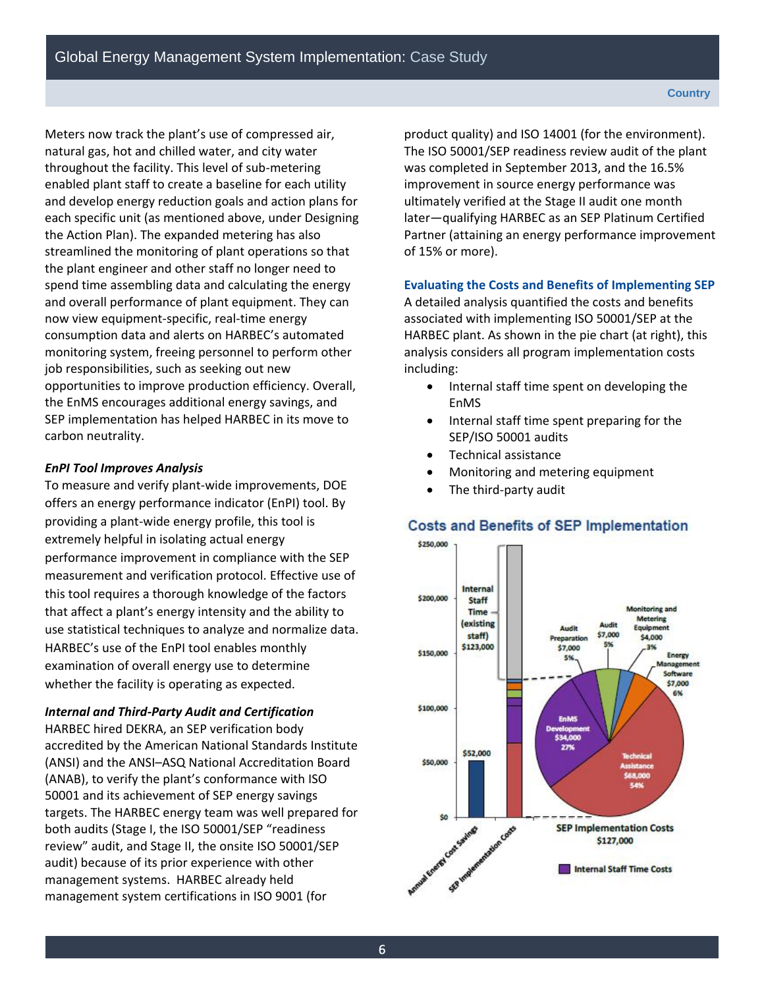each specific unit (as mentioned above, under Designing Meters now track the plant's use of compressed air, natural gas, hot and chilled water, and city water throughout the facility. This level of sub-metering enabled plant staff to create a baseline for each utility and develop energy reduction goals and action plans for the Action Plan). The expanded metering has also streamlined the monitoring of plant operations so that the plant engineer and other staff no longer need to spend time assembling data and calculating the energy and overall performance of plant equipment. They can now view equipment-specific, real-time energy consumption data and alerts on HARBEC's automated monitoring system, freeing personnel to perform other job responsibilities, such as seeking out new opportunities to improve production efficiency. Overall, the EnMS encourages additional energy savings, and SEP implementation has helped HARBEC in its move to carbon neutrality.

## *EnPI Tool Improves Analysis*

 whether the facility is operating as expected. To measure and verify plant-wide improvements, DOE offers an energy performance indicator (EnPI) tool. By providing a plant-wide energy profile, this tool is extremely helpful in isolating actual energy performance improvement in compliance with the SEP measurement and verification protocol. Effective use of this tool requires a thorough knowledge of the factors that affect a plant's energy intensity and the ability to use statistical techniques to analyze and normalize data. HARBEC's use of the EnPI tool enables monthly examination of overall energy use to determine

## *Internal and Third-Party Audit and Certification*

 management systems. HARBEC already held HARBEC hired DEKRA, an SEP verification body accredited by the American National Standards Institute (ANSI) and the ANSI–ASQ National Accreditation Board (ANAB), to verify the plant's conformance with ISO 50001 and its achievement of SEP energy savings targets. The HARBEC energy team was well prepared for both audits (Stage I, the ISO 50001/SEP "readiness review" audit, and Stage II, the onsite ISO 50001/SEP audit) because of its prior experience with other management system certifications in ISO 9001 (for

product quality) and ISO 14001 (for the environment). The ISO 50001/SEP readiness review audit of the plant was completed in September 2013, and the 16.5% improvement in source energy performance was ultimately verified at the Stage II audit one month later—qualifying HARBEC as an SEP Platinum Certified Partner (attaining an energy performance improvement of 15% or more).

## **Evaluating the Costs and Benefits of Implementing SEP**

A detailed analysis quantified the costs and benefits associated with implementing ISO 50001/SEP at the HARBEC plant. As shown in the pie chart (at right), this analysis considers all program implementation costs including:

- Internal staff time spent on developing the EnMS
- Internal staff time spent preparing for the SEP/ISO 50001 audits
- Technical assistance
- Monitoring and metering equipment
- The third-party audit

#### \$250,000 Internal \$200,000 Staff **Monitoring and Time** Metering lexisting Audit Faulpment staff) \$7,000 reparati \$4,000 \$123,000 \$7,000 \$150,000 Energy E% inager Software \$7,000 6% \$100,000 **FoMS** \$34,000 27% \$52,000 \$50,000 \$0 of Cost Savings m Costs **SEP Implementation Costs** \$127,000 Internal Staff Time Costs

## **Costs and Benefits of SEP Implementation**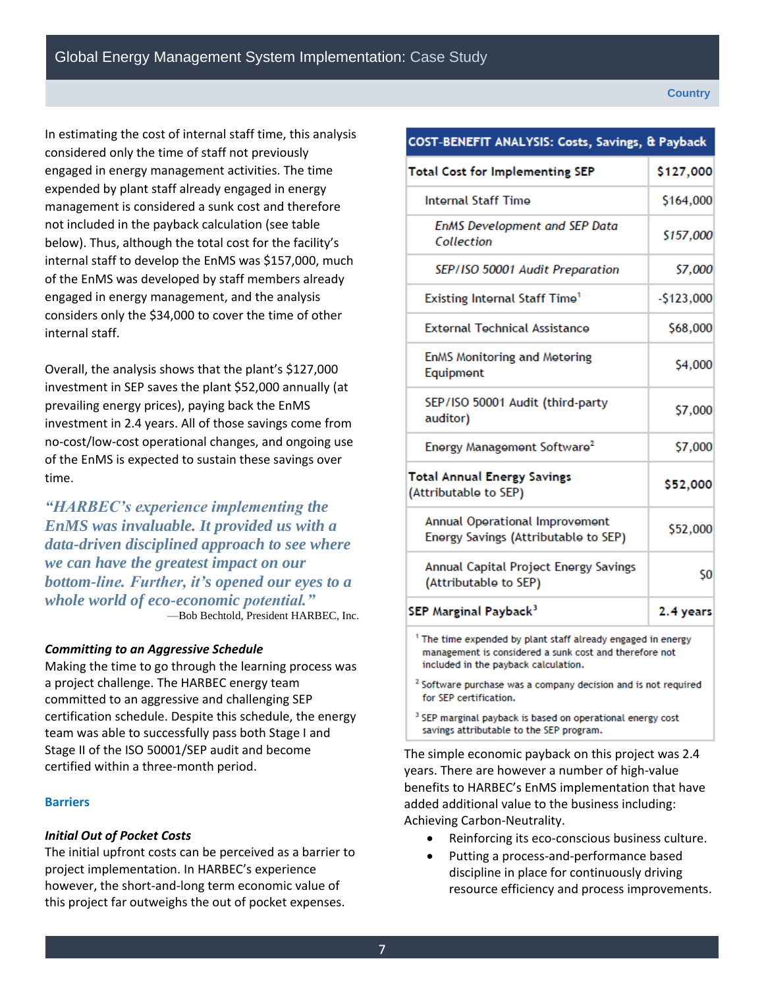Global Energy Management System Implementation: Case Study

In estimating the cost of internal staff time, this analysis considered only the time of staff not previously engaged in energy management activities. The time expended by plant staff already engaged in energy management is considered a sunk cost and therefore not included in the payback calculation (see table below). Thus, although the total cost for the facility's internal staff to develop the EnMS was \$157,000, much of the EnMS was developed by staff members already engaged in energy management, and the analysis considers only the \$34,000 to cover the time of other internal staff.

Overall, the analysis shows that the plant's \$127,000 investment in SEP saves the plant \$52,000 annually (at prevailing energy prices), paying back the EnMS investment in 2.4 years. All of those savings come from no-cost/low-cost operational changes, and ongoing use of the EnMS is expected to sustain these savings over time.

 *data-driven disciplined approach to see where whole world of eco-economic potential." "HARBEC's experience implementing the EnMS was invaluable. It provided us with a we can have the greatest impact on our bottom-line. Further, it's opened our eyes to a*  —Bob Bechtold, President HARBEC, Inc.

#### *Committing to an Aggressive Schedule*

 certified within a three-month period. Making the time to go through the learning process was a project challenge. The HARBEC energy team committed to an aggressive and challenging SEP certification schedule. Despite this schedule, the energy team was able to successfully pass both Stage I and Stage II of the ISO 50001/SEP audit and become

#### **Barriers**

#### *Initial Out of Pocket Costs*

The initial upfront costs can be perceived as a barrier to project implementation. In HARBEC's experience however, the short-and-long term economic value of this project far outweighs the out of pocket expenses.

### COST-BENEFIT ANALYSIS: Costs, Savings, & Payback **Total Cost for Implementing SEP** \$127,000 **Internal Staff Time** \$164,000 **EnMS Development and SEP Data** \$157,000 Collection SEP/ISO 50001 Audit Preparation \$7,000 **Existing Internal Staff Time<sup>1</sup>**  $-5123,000$ **External Technical Assistance** \$68,000 **EnMS Monitoring and Metering** \$4,000 Equipment SEP/ISO 50001 Audit (third-party \$7,000 auditor) Energy Management Software<sup>2</sup> \$7,000 Total Annual Energy Savings \$52,000 (Attributable to SEP) Annual Operational Improvement \$52,000 Energy Savings (Attributable to SEP) Annual Capital Project Energy Savings \$0 (Attributable to SEP) SEP Marginal Payback<sup>3</sup> 2.4 years <sup>1</sup> The time expended by plant staff already engaged in energy management is considered a sunk cost and therefore not included in the payback calculation. <sup>2</sup> Software purchase was a company decision and is not required for SEP certification. <sup>3</sup> SEP marginal payback is based on operational energy cost

The simple economic payback on this project was 2.4 years. There are however a number of high-value benefits to HARBEC's EnMS implementation that have added additional value to the business including: Achieving Carbon-Neutrality.

savings attributable to the SEP program.

- Reinforcing its eco-conscious business culture.
- Putting a process-and-performance based discipline in place for continuously driving resource efficiency and process improvements.

#### **Country**